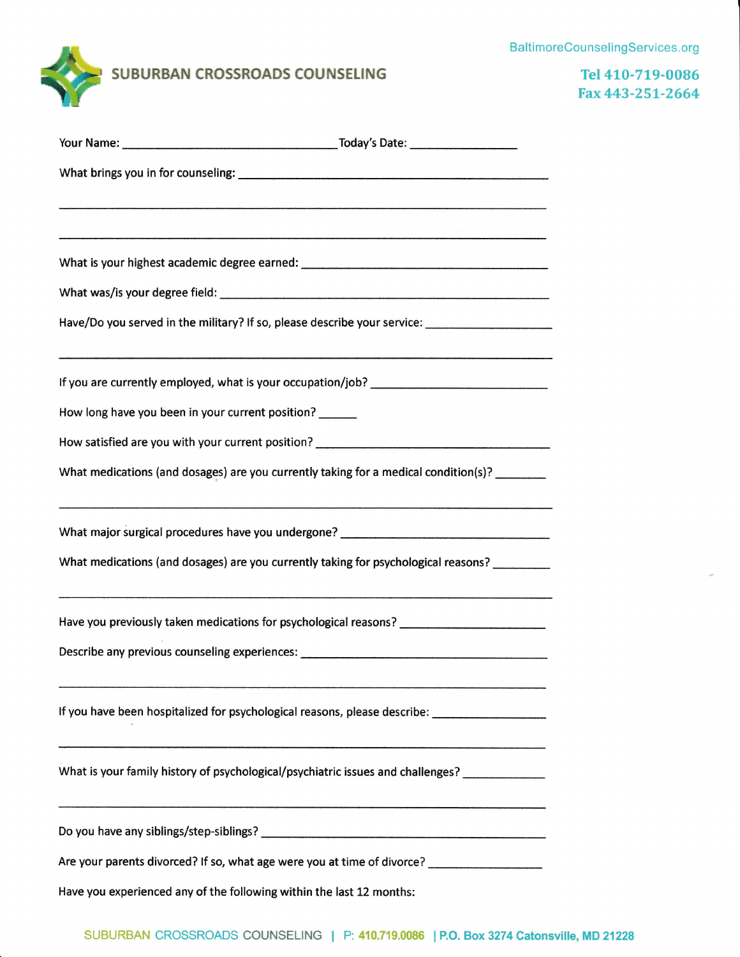## BaltimoreCounselingServices.org



Tel 410-719-0086 Fax 443-ZSL-2664

|                                                                      | Have/Do you served in the military? If so, please describe your service: ___________________________ |
|----------------------------------------------------------------------|------------------------------------------------------------------------------------------------------|
|                                                                      |                                                                                                      |
| How long have you been in your current position?                     |                                                                                                      |
|                                                                      | How satisfied are you with your current position? _______________________________                    |
|                                                                      | What medications (and dosages) are you currently taking for a medical condition(s)?                  |
|                                                                      | What major surgical procedures have you undergone? _____________________________                     |
|                                                                      | What medications (and dosages) are you currently taking for psychological reasons?                   |
|                                                                      | Have you previously taken medications for psychological reasons? ___________________________________ |
|                                                                      | Describe any previous counseling experiences: __________________________________                     |
|                                                                      | If you have been hospitalized for psychological reasons, please describe: _________________________  |
|                                                                      | What is your family history of psychological/psychiatric issues and challenges?                      |
|                                                                      |                                                                                                      |
|                                                                      | Are your parents divorced? If so, what age were you at time of divorce? _______________              |
| Have you experienced any of the following within the last 12 months: |                                                                                                      |